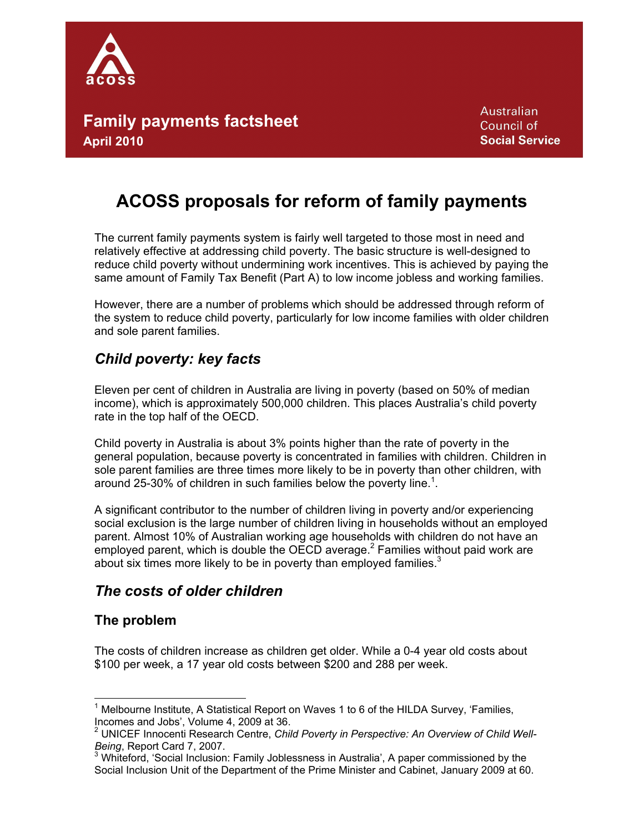

**Australian** Council of **Social Service** 

# **ACOSS proposals for reform of family payments**

The current family payments system is fairly well targeted to those most in need and relatively effective at addressing child poverty. The basic structure is well-designed to reduce child poverty without undermining work incentives. This is achieved by paying the same amount of Family Tax Benefit (Part A) to low income jobless and working families.

However, there are a number of problems which should be addressed through reform of the system to reduce child poverty, particularly for low income families with older children and sole parent families.

## *Child poverty: key facts*

Eleven per cent of children in Australia are living in poverty (based on 50% of median income), which is approximately 500,000 children. This places Australia's child poverty rate in the top half of the OECD.

Child poverty in Australia is about 3% points higher than the rate of poverty in the general population, because poverty is concentrated in families with children. Children in sole parent families are three times more likely to be in poverty than other children, with around 25-30% of children in such families below the poverty line.<sup>1</sup>.

A significant contributor to the number of children living in poverty and/or experiencing social exclusion is the large number of children living in households without an employed parent. Almost 10% of Australian working age households with children do not have an employed parent, which is double the OECD average.<sup>2</sup> Families without paid work are about six times more likely to be in poverty than employed families. $3$ 

### *The costs of older children*

### **The problem**

The costs of children increase as children get older. While a 0-4 year old costs about \$100 per week, a 17 year old costs between \$200 and 288 per week.

<sup>1</sup> Melbourne Institute, A Statistical Report on Waves 1 to 6 of the HILDA Survey, 'Families, Incomes and Jobs', Volume 4, 2009 at 36.

<sup>&</sup>lt;sup>2</sup> UNICEF Innocenti Research Centre, Child Poverty in Perspective: An Overview of Child Well-Being, Report Card 7, 2007.

 $3$  Whiteford, 'Social Inclusion: Family Joblessness in Australia', A paper commissioned by the Social Inclusion Unit of the Department of the Prime Minister and Cabinet, January 2009 at 60.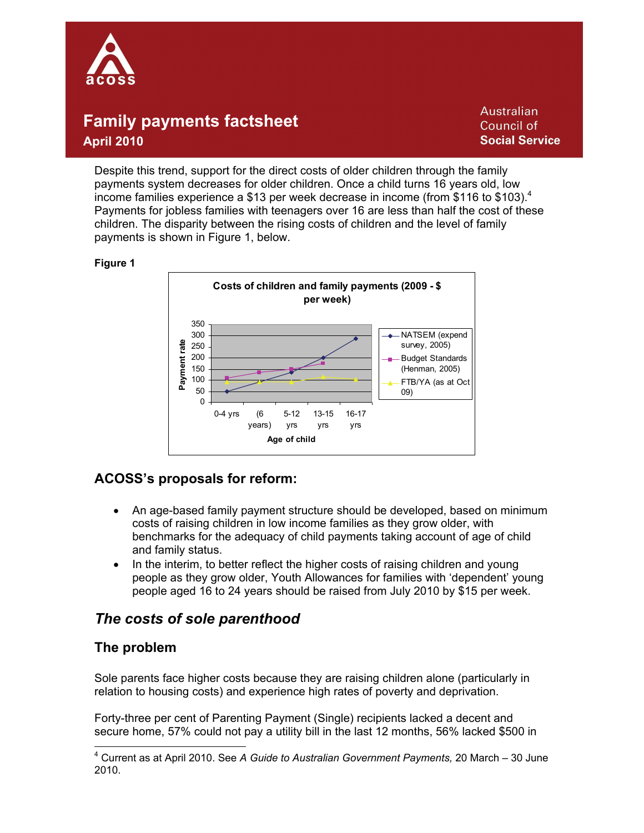

**Australian** Council of **Social Service** 

Despite this trend, support for the direct costs of older children through the family payments system decreases for older children. Once a child turns 16 years old, low income families experience a \$13 per week decrease in income (from \$116 to \$103). $^4$ Payments for jobless families with teenagers over 16 are less than half the cost of these children. The disparity between the rising costs of children and the level of family payments is shown in Figure 1, below.

#### **Figure 1**



### **ACOSS's proposals for reform:**

- An age-based family payment structure should be developed, based on minimum costs of raising children in low income families as they grow older, with benchmarks for the adequacy of child payments taking account of age of child and family status.
- In the interim, to better reflect the higher costs of raising children and young people as they grow older, Youth Allowances for families with 'dependent' young people aged 16 to 24 years should be raised from July 2010 by \$15 per week.

### *The costs of sole parenthood*

### **The problem**

Sole parents face higher costs because they are raising children alone (particularly in relation to housing costs) and experience high rates of poverty and deprivation.

Forty-three per cent of Parenting Payment (Single) recipients lacked a decent and secure home, 57% could not pay a utility bill in the last 12 months, 56% lacked \$500 in

<sup>4</sup> Current as at April 2010. See *A Guide to Australian Government Payments,* 20 March – 30 June 2010.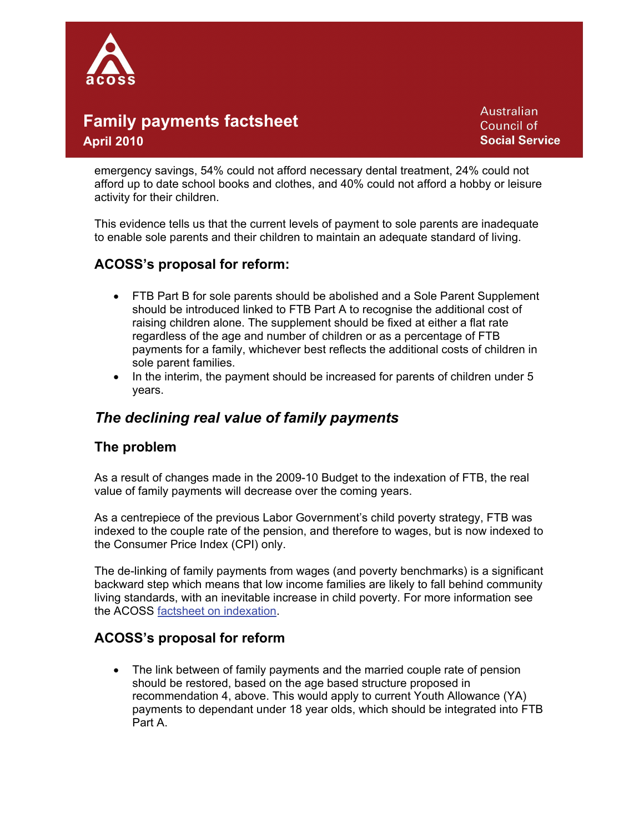

**Australian** Council of **Social Service** 

emergency savings, 54% could not afford necessary dental treatment, 24% could not afford up to date school books and clothes, and 40% could not afford a hobby or leisure activity for their children.

This evidence tells us that the current levels of payment to sole parents are inadequate to enable sole parents and their children to maintain an adequate standard of living.

### **ACOSS's proposal for reform:**

- FTB Part B for sole parents should be abolished and a Sole Parent Supplement should be introduced linked to FTB Part A to recognise the additional cost of raising children alone. The supplement should be fixed at either a flat rate regardless of the age and number of children or as a percentage of FTB payments for a family, whichever best reflects the additional costs of children in sole parent families.
- In the interim, the payment should be increased for parents of children under 5 years.

### *The declining real value of family payments*

### **The problem**

As a result of changes made in the 2009-10 Budget to the indexation of FTB, the real value of family payments will decrease over the coming years.

As a centrepiece of the previous Labor Government's child poverty strategy, FTB was indexed to the couple rate of the pension, and therefore to wages, but is now indexed to the Consumer Price Index (CPI) only.

The de-linking of family payments from wages (and poverty benchmarks) is a significant backward step which means that low income families are likely to fall behind community living standards, with an inevitable increase in child poverty. For more information see the ACOSS factsheet on indexation.

### **ACOSS's proposal for reform**

 The link between of family payments and the married couple rate of pension should be restored, based on the age based structure proposed in recommendation 4, above. This would apply to current Youth Allowance (YA) payments to dependant under 18 year olds, which should be integrated into FTB Part A.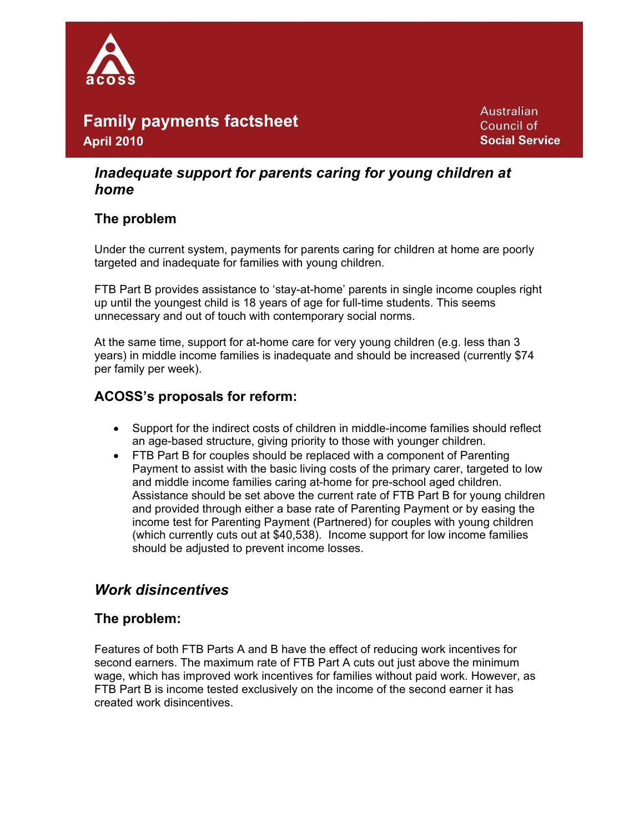

**Australian** Council of **Social Service** 

### *Inadequate support for parents caring for young children at home*

### **The problem**

Under the current system, payments for parents caring for children at home are poorly targeted and inadequate for families with young children.

FTB Part B provides assistance to 'stay-at-home' parents in single income couples right up until the youngest child is 18 years of age for full-time students. This seems unnecessary and out of touch with contemporary social norms.

At the same time, support for at-home care for very young children (e.g. less than 3 years) in middle income families is inadequate and should be increased (currently \$74 per family per week).

### **ACOSS's proposals for reform:**

- Support for the indirect costs of children in middle-income families should reflect an age-based structure, giving priority to those with younger children.
- FTB Part B for couples should be replaced with a component of Parenting Payment to assist with the basic living costs of the primary carer, targeted to low and middle income families caring at-home for pre-school aged children. Assistance should be set above the current rate of FTB Part B for young children and provided through either a base rate of Parenting Payment or by easing the income test for Parenting Payment (Partnered) for couples with young children (which currently cuts out at \$40,538). Income support for low income families should be adjusted to prevent income losses.

### *Work disincentives*

### **The problem:**

Features of both FTB Parts A and B have the effect of reducing work incentives for second earners. The maximum rate of FTB Part A cuts out just above the minimum wage, which has improved work incentives for families without paid work. However, as FTB Part B is income tested exclusively on the income of the second earner it has created work disincentives.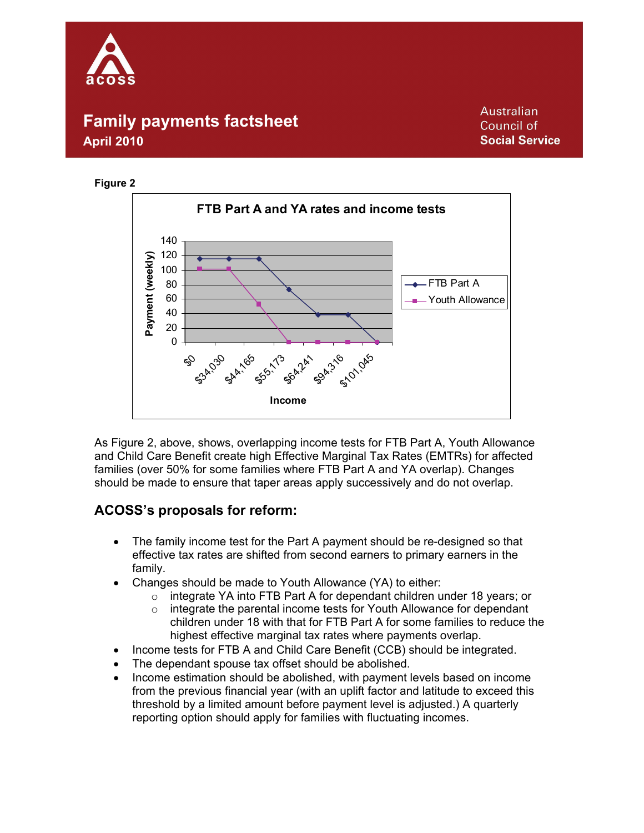





As Figure 2, above, shows, overlapping income tests for FTB Part A, Youth Allowance and Child Care Benefit create high Effective Marginal Tax Rates (EMTRs) for affected families (over 50% for some families where FTB Part A and YA overlap). Changes should be made to ensure that taper areas apply successively and do not overlap.

### **ACOSS's proposals for reform:**

- The family income test for the Part A payment should be re-designed so that effective tax rates are shifted from second earners to primary earners in the family.
- Changes should be made to Youth Allowance (YA) to either:
	- o integrate YA into FTB Part A for dependant children under 18 years; or
	- o integrate the parental income tests for Youth Allowance for dependant children under 18 with that for FTB Part A for some families to reduce the highest effective marginal tax rates where payments overlap.
- Income tests for FTB A and Child Care Benefit (CCB) should be integrated.
- The dependant spouse tax offset should be abolished.
- Income estimation should be abolished, with payment levels based on income from the previous financial year (with an uplift factor and latitude to exceed this threshold by a limited amount before payment level is adjusted.) A quarterly reporting option should apply for families with fluctuating incomes.